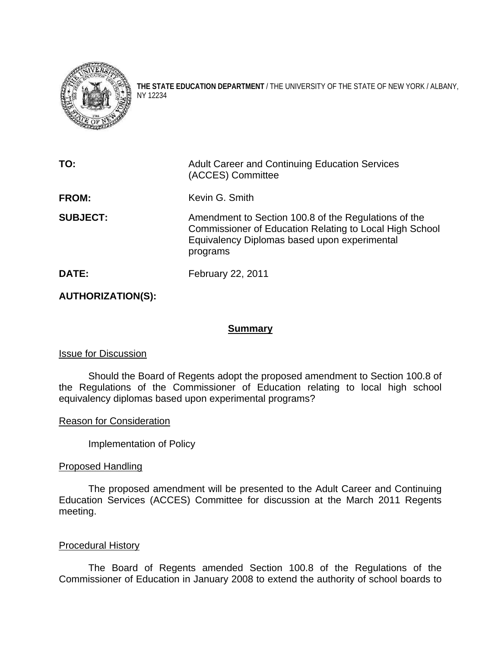

**THE STATE EDUCATION DEPARTMENT** / THE UNIVERSITY OF THE STATE OF NEW YORK / ALBANY, NY 12234

| TO:             | <b>Adult Career and Continuing Education Services</b><br>(ACCES) Committee                                                                                                  |
|-----------------|-----------------------------------------------------------------------------------------------------------------------------------------------------------------------------|
| <b>FROM:</b>    | Kevin G. Smith                                                                                                                                                              |
| <b>SUBJECT:</b> | Amendment to Section 100.8 of the Regulations of the<br>Commissioner of Education Relating to Local High School<br>Equivalency Diplomas based upon experimental<br>programs |
| DATE:           | February 22, 2011                                                                                                                                                           |

# **AUTHORIZATION(S):**

## **Summary**

#### Issue for Discussion

 Should the Board of Regents adopt the proposed amendment to Section 100.8 of the Regulations of the Commissioner of Education relating to local high school equivalency diplomas based upon experimental programs?

#### Reason for Consideration

Implementation of Policy

#### Proposed Handling

The proposed amendment will be presented to the Adult Career and Continuing Education Services (ACCES) Committee for discussion at the March 2011 Regents meeting.

## Procedural History

 The Board of Regents amended Section 100.8 of the Regulations of the Commissioner of Education in January 2008 to extend the authority of school boards to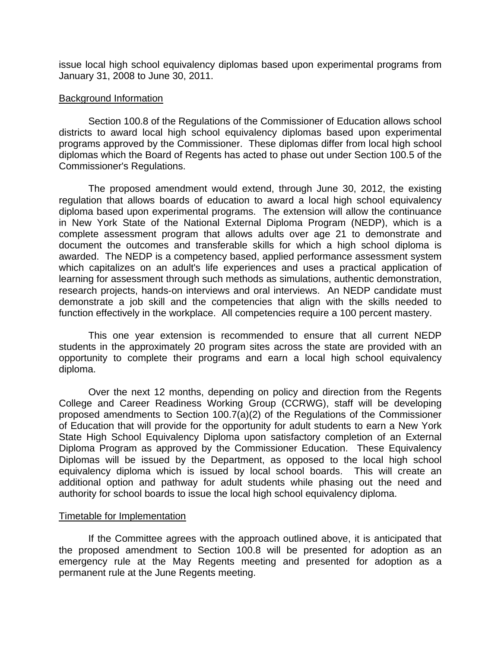issue local high school equivalency diplomas based upon experimental programs from January 31, 2008 to June 30, 2011.

### Background Information

Section 100.8 of the Regulations of the Commissioner of Education allows school districts to award local high school equivalency diplomas based upon experimental programs approved by the Commissioner. These diplomas differ from local high school diplomas which the Board of Regents has acted to phase out under Section 100.5 of the Commissioner's Regulations.

The proposed amendment would extend, through June 30, 2012, the existing regulation that allows boards of education to award a local high school equivalency diploma based upon experimental programs. The extension will allow the continuance in New York State of the National External Diploma Program (NEDP), which is a complete assessment program that allows adults over age 21 to demonstrate and document the outcomes and transferable skills for which a high school diploma is awarded. The NEDP is a competency based, applied performance assessment system which capitalizes on an adult's life experiences and uses a practical application of learning for assessment through such methods as simulations, authentic demonstration, research projects, hands-on interviews and oral interviews. An NEDP candidate must demonstrate a job skill and the competencies that align with the skills needed to function effectively in the workplace. All competencies require a 100 percent mastery.

This one year extension is recommended to ensure that all current NEDP students in the approximately 20 program sites across the state are provided with an opportunity to complete their programs and earn a local high school equivalency diploma.

Over the next 12 months, depending on policy and direction from the Regents College and Career Readiness Working Group (CCRWG), staff will be developing proposed amendments to Section 100.7(a)(2) of the Regulations of the Commissioner of Education that will provide for the opportunity for adult students to earn a New York State High School Equivalency Diploma upon satisfactory completion of an External Diploma Program as approved by the Commissioner Education. These Equivalency Diplomas will be issued by the Department, as opposed to the local high school equivalency diploma which is issued by local school boards. This will create an additional option and pathway for adult students while phasing out the need and authority for school boards to issue the local high school equivalency diploma.

#### Timetable for Implementation

If the Committee agrees with the approach outlined above, it is anticipated that the proposed amendment to Section 100.8 will be presented for adoption as an emergency rule at the May Regents meeting and presented for adoption as a permanent rule at the June Regents meeting.